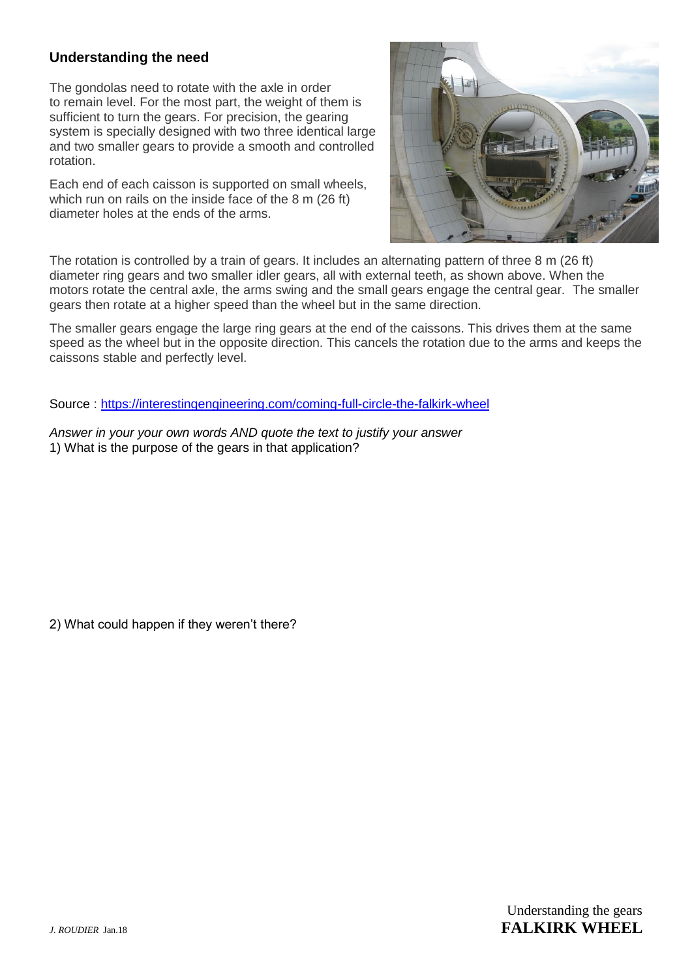## **Understanding the need**

The gondolas need to rotate with the axle in order to remain level. For the most part, the weight of them is sufficient to turn the gears. For precision, the gearing system is specially designed with two three identical large and two smaller gears to provide a smooth and controlled rotation.

Each end of each caisson is supported on small wheels, which run on rails on the inside face of the 8 m (26 ft) diameter holes at the ends of the arms.



The rotation is controlled by a train of gears. It includes an alternating pattern of three 8 m (26 ft) diameter ring gears and two smaller idler gears, all with external teeth, as shown above. When the motors rotate the central axle, the arms swing and the small gears engage the central gear. The smaller gears then rotate at a higher speed than the wheel but in the same direction.

The smaller gears engage the large ring gears at the end of the caissons. This drives them at the same speed as the wheel but in the opposite direction. This cancels the rotation due to the arms and keeps the caissons stable and perfectly level.

Source :<https://interestingengineering.com/coming-full-circle-the-falkirk-wheel>

*Answer in your your own words AND quote the text to justify your answer* 1) What is the purpose of the gears in that application?

2) What could happen if they weren't there?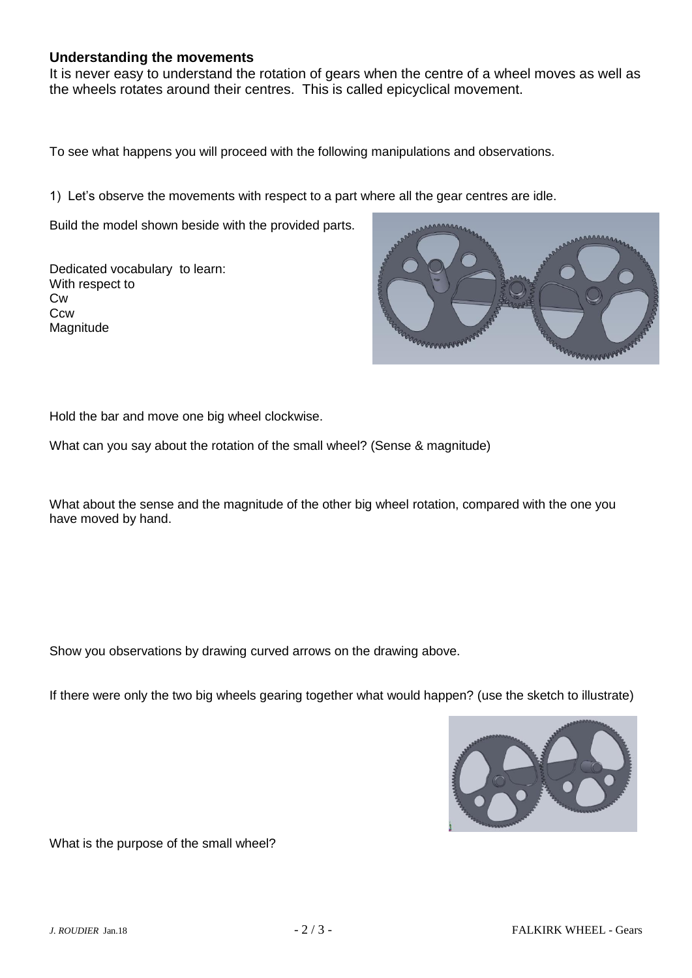## **Understanding the movements**

It is never easy to understand the rotation of gears when the centre of a wheel moves as well as the wheels rotates around their centres. This is called epicyclical movement.

To see what happens you will proceed with the following manipulations and observations.

1) Let's observe the movements with respect to a part where all the gear centres are idle.

Build the model shown beside with the provided parts.

Dedicated vocabulary to learn: With respect to Cw **C<sub>cw</sub>** Magnitude



Hold the bar and move one big wheel clockwise.

What can you say about the rotation of the small wheel? (Sense & magnitude)

What about the sense and the magnitude of the other big wheel rotation, compared with the one you have moved by hand.

Show you observations by drawing curved arrows on the drawing above.

If there were only the two big wheels gearing together what would happen? (use the sketch to illustrate)



What is the purpose of the small wheel?